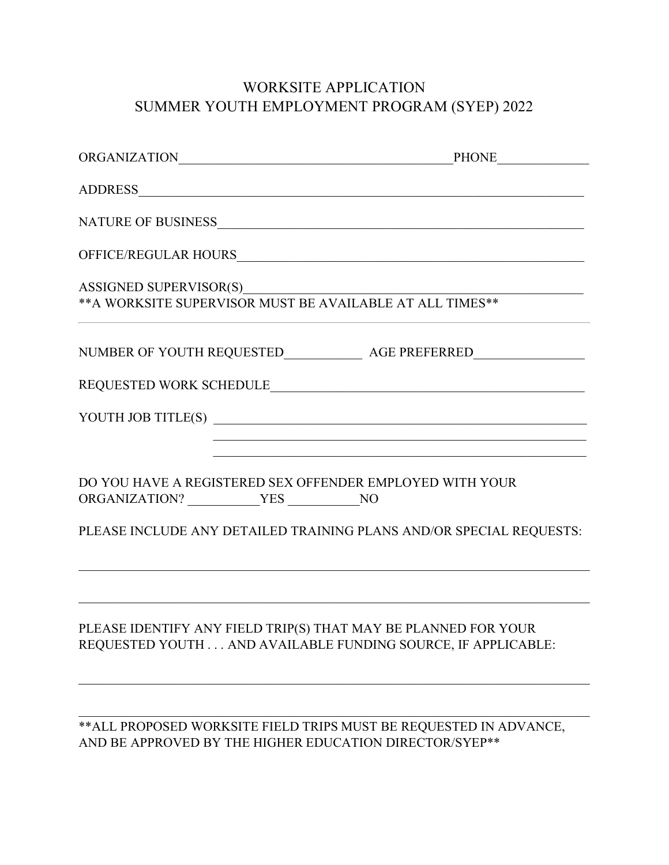# WORKSITE APPLICATION SUMMER YOUTH EMPLOYMENT PROGRAM (SYEP) 2022

|                      | NUMBER OF YOUTH REQUESTED_________________ AGE PREFERRED________________________                                                                                                                                                                    |
|----------------------|-----------------------------------------------------------------------------------------------------------------------------------------------------------------------------------------------------------------------------------------------------|
|                      |                                                                                                                                                                                                                                                     |
|                      | YOUTH JOB TITLE(S)                                                                                                                                                                                                                                  |
| ORGANIZATION? VES NO | and the control of the control of the control of the control of the control of the control of the control of the<br>DO YOU HAVE A REGISTERED SEX OFFENDER EMPLOYED WITH YOUR<br>PLEASE INCLUDE ANY DETAILED TRAINING PLANS AND/OR SPECIAL REQUESTS: |
|                      | PLEASE IDENTIFY ANY FIELD TRIP(S) THAT MAY BE PLANNED FOR YOUR<br>REQUESTED YOUTH AND AVAILABLE FUNDING SOURCE, IF APPLICABLE:                                                                                                                      |
|                      | ** ALL PROPOSED WORKSITE FIELD TRIPS MUST BE REQUESTED IN ADVANCE,<br>AND BE APPROVED BY THE HIGHER EDUCATION DIRECTOR/SYEP**                                                                                                                       |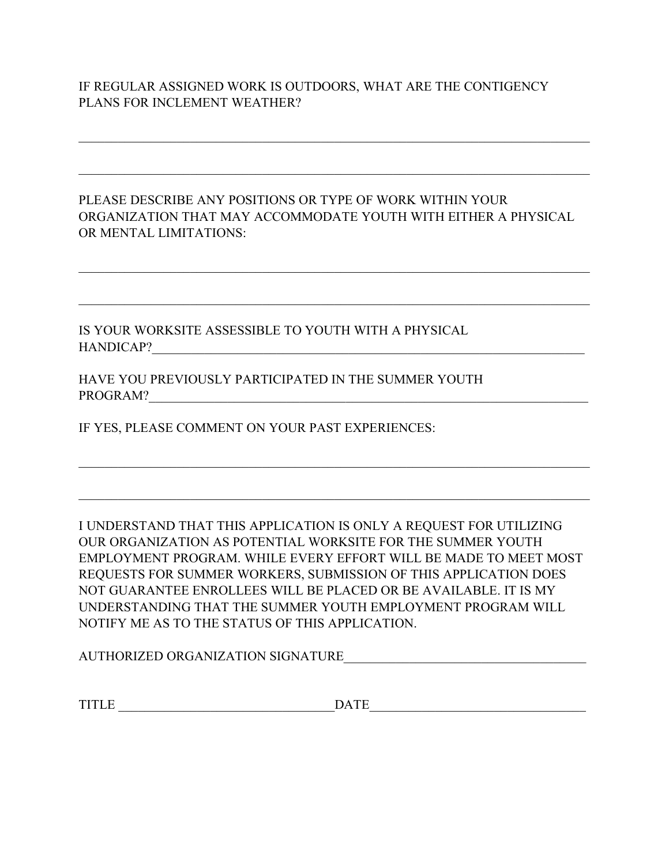#### IF REGULAR ASSIGNED WORK IS OUTDOORS, WHAT ARE THE CONTIGENCY PLANS FOR INCLEMENT WEATHER?

PLEASE DESCRIBE ANY POSITIONS OR TYPE OF WORK WITHIN YOUR ORGANIZATION THAT MAY ACCOMMODATE YOUTH WITH EITHER A PHYSICAL OR MENTAL LIMITATIONS:

 $\mathcal{L}_\mathcal{L} = \mathcal{L}_\mathcal{L} = \mathcal{L}_\mathcal{L} = \mathcal{L}_\mathcal{L} = \mathcal{L}_\mathcal{L} = \mathcal{L}_\mathcal{L} = \mathcal{L}_\mathcal{L} = \mathcal{L}_\mathcal{L} = \mathcal{L}_\mathcal{L} = \mathcal{L}_\mathcal{L} = \mathcal{L}_\mathcal{L} = \mathcal{L}_\mathcal{L} = \mathcal{L}_\mathcal{L} = \mathcal{L}_\mathcal{L} = \mathcal{L}_\mathcal{L} = \mathcal{L}_\mathcal{L} = \mathcal{L}_\mathcal{L}$ 

\_\_\_\_\_\_\_\_\_\_\_\_\_\_\_\_\_\_\_\_\_\_\_\_\_\_\_\_\_\_\_\_\_\_\_\_\_\_\_\_\_\_\_\_\_\_\_\_\_\_\_\_\_\_\_\_\_\_\_\_\_\_\_\_\_\_\_\_\_\_\_\_\_\_\_\_\_\_

IS YOUR WORKSITE ASSESSIBLE TO YOUTH WITH A PHYSICAL HANDICAP?\_\_\_\_\_\_\_\_\_\_\_\_\_\_\_\_\_\_\_\_\_\_\_\_\_\_\_\_\_\_\_\_\_\_\_\_\_\_\_\_\_\_\_\_\_\_\_\_\_\_\_\_\_\_\_\_\_\_\_\_\_\_\_\_\_\_

HAVE YOU PREVIOUSLY PARTICIPATED IN THE SUMMER YOUTH PROGRAM?

IF YES, PLEASE COMMENT ON YOUR PAST EXPERIENCES:

I UNDERSTAND THAT THIS APPLICATION IS ONLY A REQUEST FOR UTILIZING OUR ORGANIZATION AS POTENTIAL WORKSITE FOR THE SUMMER YOUTH EMPLOYMENT PROGRAM. WHILE EVERY EFFORT WILL BE MADE TO MEET MOST REQUESTS FOR SUMMER WORKERS, SUBMISSION OF THIS APPLICATION DOES NOT GUARANTEE ENROLLEES WILL BE PLACED OR BE AVAILABLE. IT IS MY UNDERSTANDING THAT THE SUMMER YOUTH EMPLOYMENT PROGRAM WILL NOTIFY ME AS TO THE STATUS OF THIS APPLICATION.

\_\_\_\_\_\_\_\_\_\_\_\_\_\_\_\_\_\_\_\_\_\_\_\_\_\_\_\_\_\_\_\_\_\_\_\_\_\_\_\_\_\_\_\_\_\_\_\_\_\_\_\_\_\_\_\_\_\_\_\_\_\_\_\_\_\_\_\_\_\_\_\_\_\_\_\_\_\_

AUTHORIZED ORGANIZATION SIGNATURE

 $\texttt{DATE} \hspace{1.5cm} \texttt{DATE} \hspace{1.5cm}$